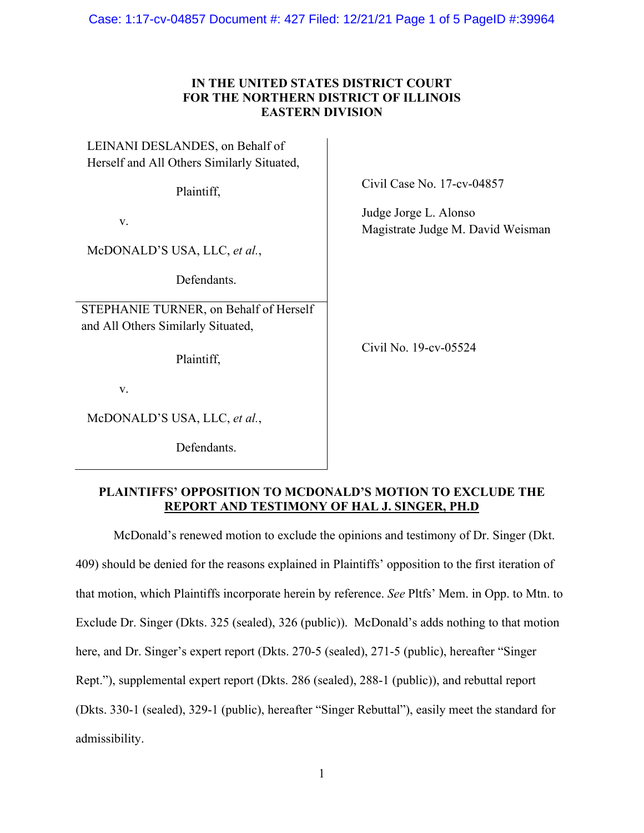Case: 1:17-cv-04857 Document #: 427 Filed: 12/21/21 Page 1 of 5 PageID #:39964

# **IN THE UNITED STATES DISTRICT COURT FOR THE NORTHERN DISTRICT OF ILLINOIS EASTERN DIVISION**

| LEINANI DESLANDES, on Behalf of<br>Herself and All Others Similarly Situated, |                                                          |
|-------------------------------------------------------------------------------|----------------------------------------------------------|
| Plaintiff,                                                                    | Civil Case No. 17-cv-04857                               |
| V.                                                                            | Judge Jorge L. Alonso<br>Magistrate Judge M. David Weism |
| McDONALD'S USA, LLC, et al.,                                                  |                                                          |
| Defendants.                                                                   |                                                          |
| STEPHANIE TURNER, on Behalf of Herself<br>and All Others Similarly Situated,  |                                                          |
| Plaintiff,                                                                    | Civil No. 19-cv-05524                                    |
| V.                                                                            |                                                          |
| McDONALD'S USA, LLC, et al.,                                                  |                                                          |

Defendants.

Magistrate Judge M. David Weisman

# **PLAINTIFFS' OPPOSITION TO MCDONALD'S MOTION TO EXCLUDE THE REPORT AND TESTIMONY OF HAL J. SINGER, PH.D**

McDonald's renewed motion to exclude the opinions and testimony of Dr. Singer (Dkt. 409) should be denied for the reasons explained in Plaintiffs' opposition to the first iteration of that motion, which Plaintiffs incorporate herein by reference. *See* Pltfs' Mem. in Opp. to Mtn. to Exclude Dr. Singer (Dkts. 325 (sealed), 326 (public)). McDonald's adds nothing to that motion here, and Dr. Singer's expert report (Dkts. 270-5 (sealed), 271-5 (public), hereafter "Singer Rept."), supplemental expert report (Dkts. 286 (sealed), 288-1 (public)), and rebuttal report (Dkts. 330-1 (sealed), 329-1 (public), hereafter "Singer Rebuttal"), easily meet the standard for admissibility.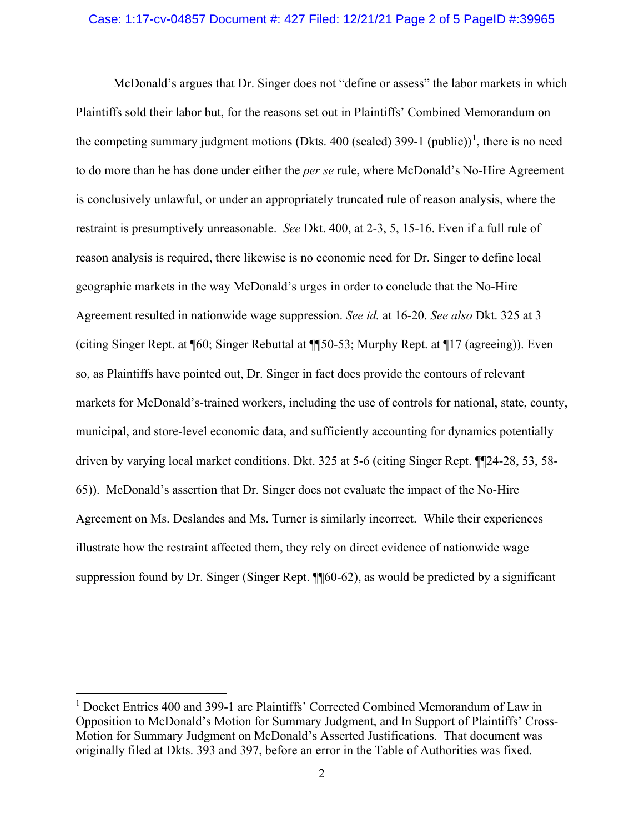#### Case: 1:17-cv-04857 Document #: 427 Filed: 12/21/21 Page 2 of 5 PageID #:39965

McDonald's argues that Dr. Singer does not "define or assess" the labor markets in which Plaintiffs sold their labor but, for the reasons set out in Plaintiffs' Combined Memorandum on the competing summary judgment motions (Dkts. 400 (sealed) 399-[1](#page-1-0) (public))<sup>1</sup>, there is no need to do more than he has done under either the *per se* rule, where McDonald's No-Hire Agreement is conclusively unlawful, or under an appropriately truncated rule of reason analysis, where the restraint is presumptively unreasonable. *See* Dkt. 400, at 2-3, 5, 15-16. Even if a full rule of reason analysis is required, there likewise is no economic need for Dr. Singer to define local geographic markets in the way McDonald's urges in order to conclude that the No-Hire Agreement resulted in nationwide wage suppression. *See id.* at 16-20. *See also* Dkt. 325 at 3 (citing Singer Rept. at ¶60; Singer Rebuttal at ¶¶50-53; Murphy Rept. at ¶17 (agreeing)). Even so, as Plaintiffs have pointed out, Dr. Singer in fact does provide the contours of relevant markets for McDonald's-trained workers, including the use of controls for national, state, county, municipal, and store-level economic data, and sufficiently accounting for dynamics potentially driven by varying local market conditions. Dkt. 325 at 5-6 (citing Singer Rept. ¶¶24-28, 53, 58- 65)). McDonald's assertion that Dr. Singer does not evaluate the impact of the No-Hire Agreement on Ms. Deslandes and Ms. Turner is similarly incorrect. While their experiences illustrate how the restraint affected them, they rely on direct evidence of nationwide wage suppression found by Dr. Singer (Singer Rept. ¶¶60-62), as would be predicted by a significant

<span id="page-1-0"></span><sup>&</sup>lt;sup>1</sup> Docket Entries 400 and 399-1 are Plaintiffs' Corrected Combined Memorandum of Law in Opposition to McDonald's Motion for Summary Judgment, and In Support of Plaintiffs' Cross-Motion for Summary Judgment on McDonald's Asserted Justifications. That document was originally filed at Dkts. 393 and 397, before an error in the Table of Authorities was fixed.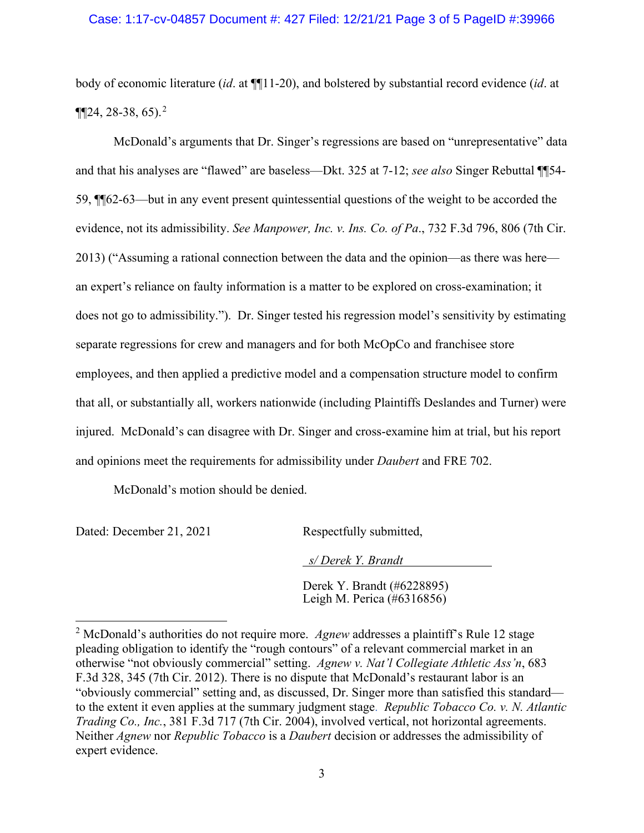### Case: 1:17-cv-04857 Document #: 427 Filed: 12/21/21 Page 3 of 5 PageID #:39966

body of economic literature (*id*. at ¶¶11-20), and bolstered by substantial record evidence (*id*. at  $\P[24, 28-38, 65].<sup>2</sup>$  $\P[24, 28-38, 65].<sup>2</sup>$  $\P[24, 28-38, 65].<sup>2</sup>$ 

McDonald's arguments that Dr. Singer's regressions are based on "unrepresentative" data and that his analyses are "flawed" are baseless—Dkt. 325 at 7-12; *see also* Singer Rebuttal ¶¶54- 59, ¶¶62-63—but in any event present quintessential questions of the weight to be accorded the evidence, not its admissibility. *See Manpower, Inc. v. Ins. Co. of Pa*., 732 F.3d 796, 806 (7th Cir. 2013) ("Assuming a rational connection between the data and the opinion—as there was here an expert's reliance on faulty information is a matter to be explored on cross-examination; it does not go to admissibility."). Dr. Singer tested his regression model's sensitivity by estimating separate regressions for crew and managers and for both McOpCo and franchisee store employees, and then applied a predictive model and a compensation structure model to confirm that all, or substantially all, workers nationwide (including Plaintiffs Deslandes and Turner) were injured. McDonald's can disagree with Dr. Singer and cross-examine him at trial, but his report and opinions meet the requirements for admissibility under *Daubert* and FRE 702.

McDonald's motion should be denied.

Dated: December 21, 2021 Respectfully submitted,

 *s/ Derek Y. Brandt*

Derek Y. Brandt (#6228895) Leigh M. Perica (#6316856)

<span id="page-2-0"></span><sup>2</sup> McDonald's authorities do not require more. *Agnew* addresses a plaintiff's Rule 12 stage pleading obligation to identify the "rough contours" of a relevant commercial market in an otherwise "not obviously commercial" setting. *Agnew v. Nat'l Collegiate Athletic Ass'n*, 683 F.3d 328, 345 (7th Cir. 2012). There is no dispute that McDonald's restaurant labor is an "obviously commercial" setting and, as discussed, Dr. Singer more than satisfied this standard to the extent it even applies at the summary judgment stage. *Republic Tobacco Co. v. N. Atlantic Trading Co., Inc.*, 381 F.3d 717 (7th Cir. 2004), involved vertical, not horizontal agreements. Neither *Agnew* nor *Republic Tobacco* is a *Daubert* decision or addresses the admissibility of expert evidence.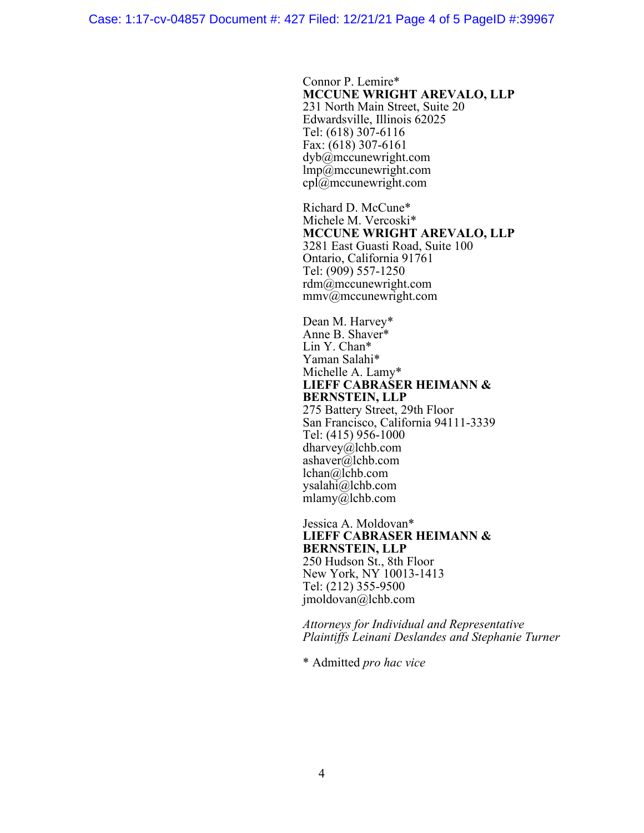Case: 1:17-cv-04857 Document #: 427 Filed: 12/21/21 Page 4 of 5 PageID #:39967

Connor P. Lemire\* **MCCUNE WRIGHT AREVALO, LLP** 231 North Main Street, Suite 20 Edwardsville, Illinois 62025 Tel: (618) 307-6116 Fax: (618) 307-6161 dyb@mccunewright.com  $\text{Imp}(\bar{a})$ mccunewright.com cpl@mccunewright.com

Richard D. McCune\* Michele M. Vercoski\* **MCCUNE WRIGHT AREVALO, LLP** 3281 East Guasti Road, Suite 100 Ontario, California 91761 Tel: (909) 557-1250 rdm@mccunewright.com mmv@mccunewright.com

Dean M. Harvey\* Anne B. Shaver\* Lin Y. Chan\* Yaman Salahi\* Michelle A. Lamy\* **LIEFF CABRASER HEIMANN & BERNSTEIN, LLP** 275 Battery Street, 29th Floor

San Francisco, California 94111-3339 Tel: (415) 956-1000 dharvey@lchb.com ashaver@lchb.com lchan@lchb.com ysalahi@lchb.com mlamy@lchb.com

Jessica A. Moldovan\* **LIEFF CABRASER HEIMANN & BERNSTEIN, LLP** 250 Hudson St., 8th Floor New York, NY 10013-1413 Tel: (212) 355-9500 jmoldovan@lchb.com

*Attorneys for Individual and Representative Plaintiffs Leinani Deslandes and Stephanie Turner*

\* Admitted *pro hac vice*